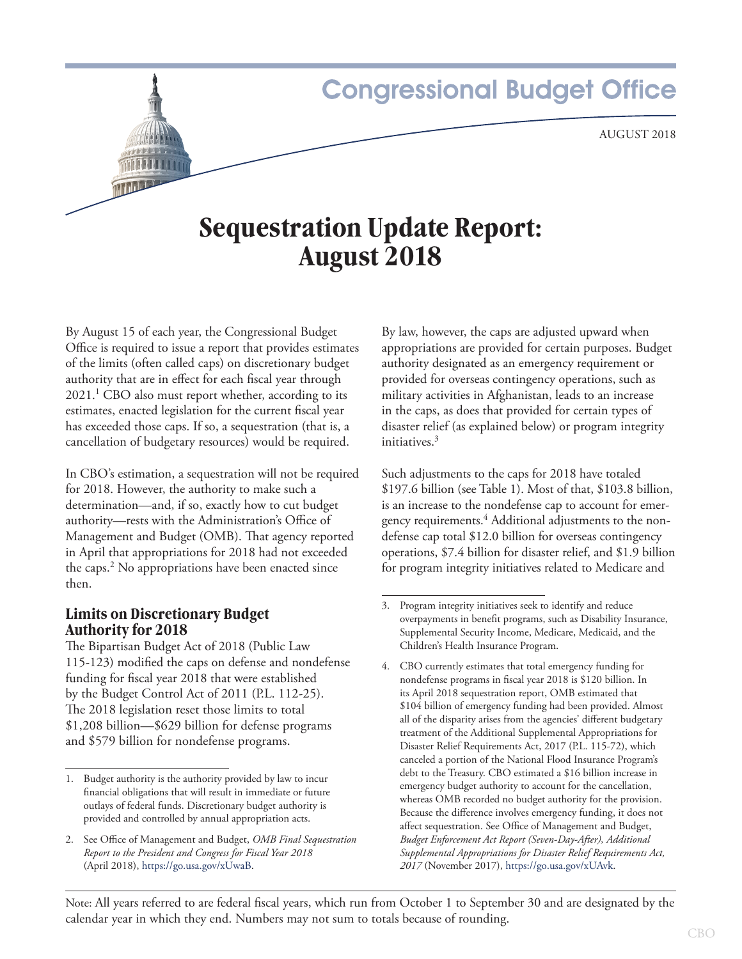# **Congressional Budget Office** August 2018 **Sequestration Update Report:**

**August 2018**

By August 15 of each year, the Congressional Budget Office is required to issue a report that provides estimates of the limits (often called caps) on discretionary budget authority that are in effect for each fiscal year through  $2021$ .<sup>1</sup> CBO also must report whether, according to its estimates, enacted legislation for the current fiscal year has exceeded those caps. If so, a sequestration (that is, a cancellation of budgetary resources) would be required.

In CBO's estimation, a sequestration will not be required for 2018. However, the authority to make such a determination—and, if so, exactly how to cut budget authority—rests with the Administration's Office of Management and Budget (OMB). That agency reported in April that appropriations for 2018 had not exceeded the caps.<sup>2</sup> No appropriations have been enacted since then.

# **Limits on Discretionary Budget Authority for 2018**

The Bipartisan Budget Act of 2018 (Public Law 115‑123) modified the caps on defense and nondefense funding for fiscal year 2018 that were established by the Budget Control Act of 2011 (P.L. 112-25). The 2018 legislation reset those limits to total \$1,208 billion—\$629 billion for defense programs and \$579 billion for nondefense programs.

By law, however, the caps are adjusted upward when appropriations are provided for certain purposes. Budget authority designated as an emergency requirement or provided for overseas contingency operations, such as military activities in Afghanistan, leads to an increase in the caps, as does that provided for certain types of disaster relief (as explained below) or program integrity initiatives.<sup>3</sup>

Such adjustments to the caps for 2018 have totaled \$197.6 billion (see [Table 1](#page-1-0)). Most of that, \$103.8 billion, is an increase to the nondefense cap to account for emergency requirements.<sup>4</sup> Additional adjustments to the nondefense cap total \$12.0 billion for overseas contingency operations, \$7.4 billion for disaster relief, and \$1.9 billion for program integrity initiatives related to Medicare and

Note: All years referred to are federal fiscal years, which run from October 1 to September 30 and are designated by the calendar year in which they end. Numbers may not sum to totals because of rounding.

<sup>1.</sup> Budget authority is the authority provided by law to incur financial obligations that will result in immediate or future outlays of federal funds. Discretionary budget authority is provided and controlled by annual appropriation acts.

<sup>2.</sup> See Office of Management and Budget, *OMB Final Sequestration Report to the President and Congress for Fiscal Year 2018*  (April 2018),<https://go.usa.gov/xUwaB>.

<sup>3.</sup> Program integrity initiatives seek to identify and reduce overpayments in benefit programs, such as Disability Insurance, Supplemental Security Income, Medicare, Medicaid, and the Children's Health Insurance Program.

<sup>4.</sup> CBO currently estimates that total emergency funding for nondefense programs in fiscal year 2018 is \$120 billion. In its April 2018 sequestration report, OMB estimated that \$104 billion of emergency funding had been provided. Almost all of the disparity arises from the agencies' different budgetary treatment of the Additional Supplemental Appropriations for Disaster Relief Requirements Act, 2017 (P.L. 115-72), which canceled a portion of the National Flood Insurance Program's debt to the Treasury. CBO estimated a \$16 billion increase in emergency budget authority to account for the cancellation, whereas OMB recorded no budget authority for the provision. Because the difference involves emergency funding, it does not affect sequestration. See Office of Management and Budget, *Budget Enforcement Act Report (Seven-Day-After), Additional Supplemental Appropriations for Disaster Relief Requirements Act, 2017* (November 2017), [https://go.usa.gov/xUAvk.](https://go.usa.gov/xUAvk)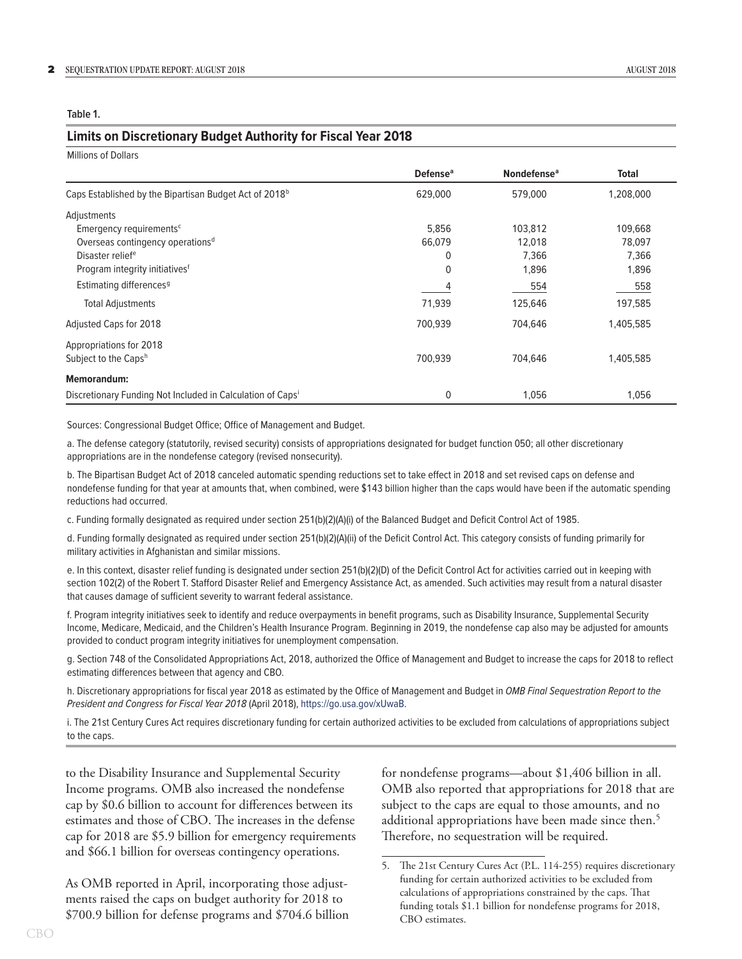<span id="page-1-0"></span>**Table 1.**

#### **Limits on Discretionary Budget Authority for Fiscal Year 2018**

| <b>Millions of Dollars</b>                                             |                      |                               |              |
|------------------------------------------------------------------------|----------------------|-------------------------------|--------------|
|                                                                        | Defense <sup>a</sup> | <b>Nondefense<sup>a</sup></b> | <b>Total</b> |
| Caps Established by the Bipartisan Budget Act of 2018 <sup>b</sup>     | 629,000              | 579,000                       | 1,208,000    |
| Adjustments                                                            |                      |                               |              |
| Emergency requirements <sup>c</sup>                                    | 5,856                | 103,812                       | 109,668      |
| Overseas contingency operations <sup>d</sup>                           | 66,079               | 12,018                        | 78,097       |
| Disaster relief <sup>e</sup>                                           | 0                    | 7,366                         | 7,366        |
| Program integrity initiatives <sup>f</sup>                             | $\mathbf{0}$         | 1,896                         | 1,896        |
| Estimating differences <sup>9</sup>                                    | 4                    | 554                           | 558          |
| <b>Total Adjustments</b>                                               | 71,939               | 125,646                       | 197,585      |
| Adjusted Caps for 2018                                                 | 700,939              | 704,646                       | 1,405,585    |
| Appropriations for 2018                                                |                      |                               |              |
| Subject to the Capsh                                                   | 700,939              | 704,646                       | 1,405,585    |
| <b>Memorandum:</b>                                                     |                      |                               |              |
| Discretionary Funding Not Included in Calculation of Caps <sup>1</sup> | 0                    | 1,056                         | 1,056        |

Sources: Congressional Budget Office; Office of Management and Budget.

a. The defense category (statutorily, revised security) consists of appropriations designated for budget function 050; all other discretionary appropriations are in the nondefense category (revised nonsecurity).

b. The Bipartisan Budget Act of 2018 canceled automatic spending reductions set to take effect in 2018 and set revised caps on defense and nondefense funding for that year at amounts that, when combined, were \$143 billion higher than the caps would have been if the automatic spending reductions had occurred.

c. Funding formally designated as required under section 251(b)(2)(A)(i) of the Balanced Budget and Deficit Control Act of 1985.

d. Funding formally designated as required under section 251(b)(2)(A)(ii) of the Deficit Control Act. This category consists of funding primarily for military activities in Afghanistan and similar missions.

e. In this context, disaster relief funding is designated under section 251(b)(2)(D) of the Deficit Control Act for activities carried out in keeping with section 102(2) of the Robert T. Stafford Disaster Relief and Emergency Assistance Act, as amended. Such activities may result from a natural disaster that causes damage of sufficient severity to warrant federal assistance.

f. Program integrity initiatives seek to identify and reduce overpayments in benefit programs, such as Disability Insurance, Supplemental Security Income, Medicare, Medicaid, and the Children's Health Insurance Program. Beginning in 2019, the nondefense cap also may be adjusted for amounts provided to conduct program integrity initiatives for unemployment compensation.

g. Section 748 of the Consolidated Appropriations Act, 2018, authorized the Office of Management and Budget to increase the caps for 2018 to reflect estimating differences between that agency and CBO.

h. Discretionary appropriations for fiscal year 2018 as estimated by the Office of Management and Budget in *OMB Final Sequestration Report to the President and Congress for Fiscal Year 2018* (April 2018), https://go.usa.gov/xUwaB.

i. The 21st Century Cures Act requires discretionary funding for certain authorized activities to be excluded from calculations of appropriations subject to the caps.

to the Disability Insurance and Supplemental Security Income programs. OMB also increased the nondefense cap by \$0.6 billion to account for differences between its estimates and those of CBO. The increases in the defense cap for 2018 are \$5.9 billion for emergency requirements and \$66.1 billion for overseas contingency operations.

As OMB reported in April, incorporating those adjustments raised the caps on budget authority for 2018 to \$700.9 billion for defense programs and \$704.6 billion for nondefense programs—about \$1,406 billion in all. OMB also reported that appropriations for 2018 that are subject to the caps are equal to those amounts, and no additional appropriations have been made since then.<sup>5</sup> Therefore, no sequestration will be required.

<sup>5.</sup> The 21st Century Cures Act (P.L. 114-255) requires discretionary funding for certain authorized activities to be excluded from calculations of appropriations constrained by the caps. That funding totals \$1.1 billion for nondefense programs for 2018, CBO estimates.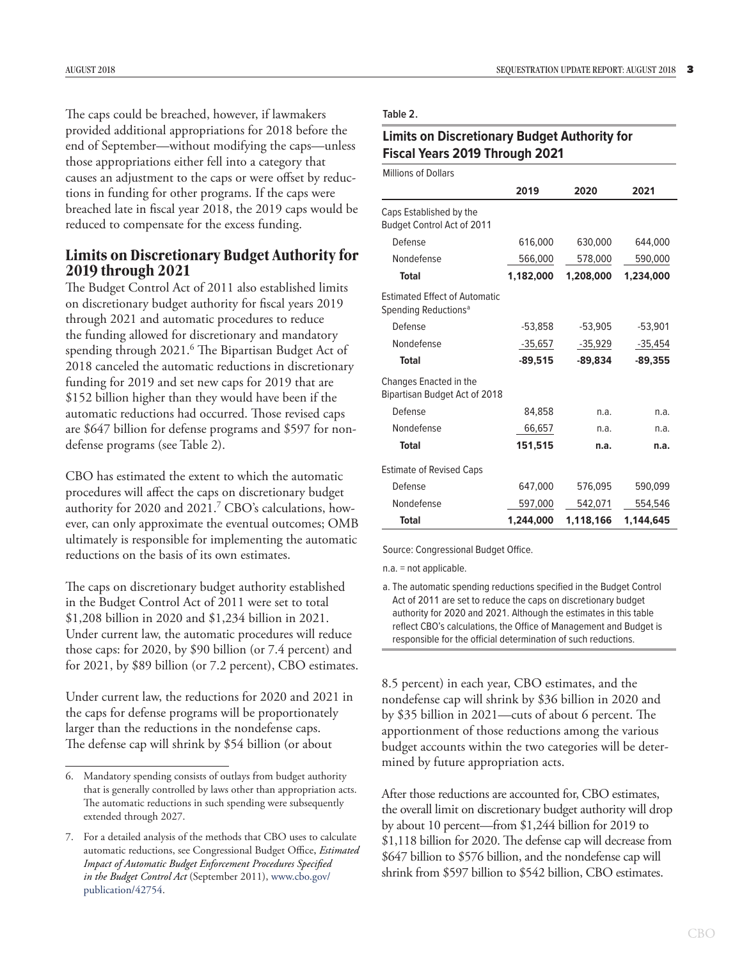The caps could be breached, however, if lawmakers provided additional appropriations for 2018 before the end of September—without modifying the caps—unless those appropriations either fell into a category that causes an adjustment to the caps or were offset by reductions in funding for other programs. If the caps were breached late in fiscal year 2018, the 2019 caps would be reduced to compensate for the excess funding.

### **Limits on Discretionary Budget Authority for 2019 through 2021**

The Budget Control Act of 2011 also established limits on discretionary budget authority for fiscal years 2019 through 2021 and automatic procedures to reduce the funding allowed for discretionary and mandatory spending through 2021.<sup>6</sup> The Bipartisan Budget Act of 2018 canceled the automatic reductions in discretionary funding for 2019 and set new caps for 2019 that are \$152 billion higher than they would have been if the automatic reductions had occurred. Those revised caps are \$647 billion for defense programs and \$597 for nondefense programs (see [Table 2\)](#page-2-0).

CBO has estimated the extent to which the automatic procedures will affect the caps on discretionary budget authority for 2020 and 2021.<sup>7</sup> CBO's calculations, however, can only approximate the eventual outcomes; OMB ultimately is responsible for implementing the automatic reductions on the basis of its own estimates.

The caps on discretionary budget authority established in the Budget Control Act of 2011 were set to total \$1,208 billion in 2020 and \$1,234 billion in 2021. Under current law, the automatic procedures will reduce those caps: for 2020, by \$90 billion (or 7.4 percent) and for 2021, by \$89 billion (or 7.2 percent), CBO estimates.

Under current law, the reductions for 2020 and 2021 in the caps for defense programs will be proportionately larger than the reductions in the nondefense caps. The defense cap will shrink by \$54 billion (or about

#### <span id="page-2-0"></span>**Table 2.**

## **Limits on Discretionary Budget Authority for Fiscal Years 2019 Through 2021**

|                                                                          | 2019      | 2020      | 2021      |
|--------------------------------------------------------------------------|-----------|-----------|-----------|
| Caps Established by the<br><b>Budget Control Act of 2011</b>             |           |           |           |
| Defense                                                                  | 616,000   | 630,000   | 644,000   |
| Nondefense                                                               | 566,000   | 578,000   | 590,000   |
| Total                                                                    | 1,182,000 | 1,208,000 | 1,234,000 |
| <b>Estimated Effect of Automatic</b><br>Spending Reductions <sup>a</sup> |           |           |           |
| Defense                                                                  | $-53,858$ | $-53,905$ | $-53,901$ |
| Nondefense                                                               | -35,657   | -35,929   | $-35,454$ |
| <b>Total</b>                                                             | $-89.515$ | $-89.834$ | $-89.355$ |
| Changes Enacted in the<br>Bipartisan Budget Act of 2018                  |           |           |           |
| Defense                                                                  | 84,858    | n.a.      | n.a.      |
| Nondefense                                                               | 66,657    | n.a.      | n.a.      |
| <b>Total</b>                                                             | 151,515   | n.a.      | n.a.      |
| <b>Estimate of Revised Caps</b>                                          |           |           |           |
| Defense                                                                  | 647,000   | 576,095   | 590,099   |
| Nondefense                                                               | 597,000   | 542,071   | 554,546   |
| <b>Total</b>                                                             | 1,244,000 | 1,118,166 | 1,144,645 |

Source: Congressional Budget Office.

n.a. = not applicable.

a. The automatic spending reductions specified in the Budget Control Act of 2011 are set to reduce the caps on discretionary budget authority for 2020 and 2021. Although the estimates in this table reflect CBO's calculations, the Office of Management and Budget is responsible for the official determination of such reductions.

8.5 percent) in each year, CBO estimates, and the nondefense cap will shrink by \$36 billion in 2020 and by \$35 billion in 2021—cuts of about 6 percent. The apportionment of those reductions among the various budget accounts within the two categories will be determined by future appropriation acts.

After those reductions are accounted for, CBO estimates, the overall limit on discretionary budget authority will drop by about 10 percent—from \$1,244 billion for 2019 to \$1,118 billion for 2020. The defense cap will decrease from \$647 billion to \$576 billion, and the nondefense cap will shrink from \$597 billion to \$542 billion, CBO estimates.

<sup>6.</sup> Mandatory spending consists of outlays from budget authority that is generally controlled by laws other than appropriation acts. The automatic reductions in such spending were subsequently extended through 2027.

<sup>7.</sup> For a detailed analysis of the methods that CBO uses to calculate automatic reductions, see Congressional Budget Office, *Estimated Impact of Automatic Budget Enforcement Procedures Specified in the Budget Control Act* (September 2011), [www.cbo.gov/](http://www.cbo.gov/publication/42754) [publication/42754](http://www.cbo.gov/publication/42754).